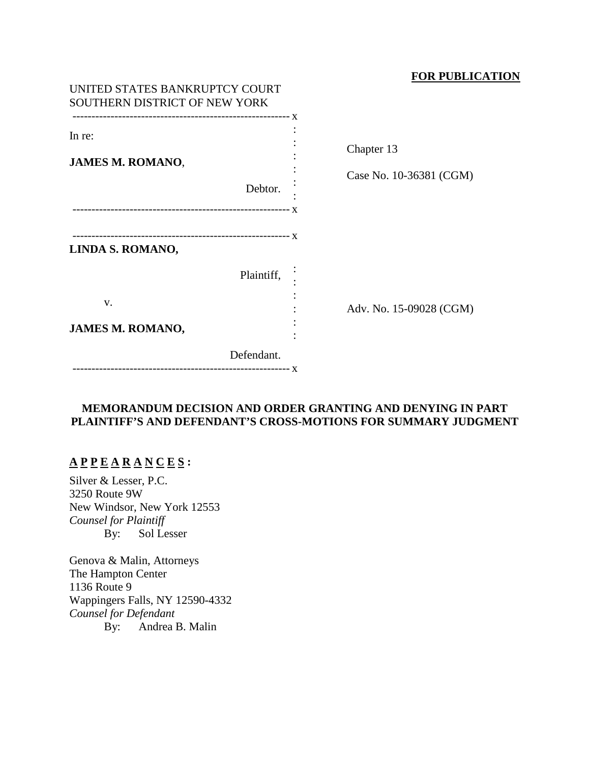## **FOR PUBLICATION**

| UNITED STATES BANKRUPTCY COURT<br>SOUTHERN DISTRICT OF NEW YORK |            |                                       |
|-----------------------------------------------------------------|------------|---------------------------------------|
| In re:<br><b>JAMES M. ROMANO,</b>                               | Debtor.    | Chapter 13<br>Case No. 10-36381 (CGM) |
| LINDA S. ROMANO,                                                |            |                                       |
|                                                                 | Plaintiff, |                                       |
| V.                                                              |            | Adv. No. 15-09028 (CGM)               |
| <b>JAMES M. ROMANO,</b>                                         |            |                                       |
|                                                                 | Defendant. |                                       |

# **MEMORANDUM DECISION AND ORDER GRANTING AND DENYING IN PART PLAINTIFF'S AND DEFENDANT'S CROSS-MOTIONS FOR SUMMARY JUDGMENT**

# **A P P E A R A N C E S :**

Silver & Lesser, P.C. 3250 Route 9W New Windsor, New York 12553 *Counsel for Plaintiff* By: Sol Lesser

Genova & Malin, Attorneys The Hampton Center 1136 Route 9 Wappingers Falls, NY 12590-4332 *Counsel for Defendant* By: Andrea B. Malin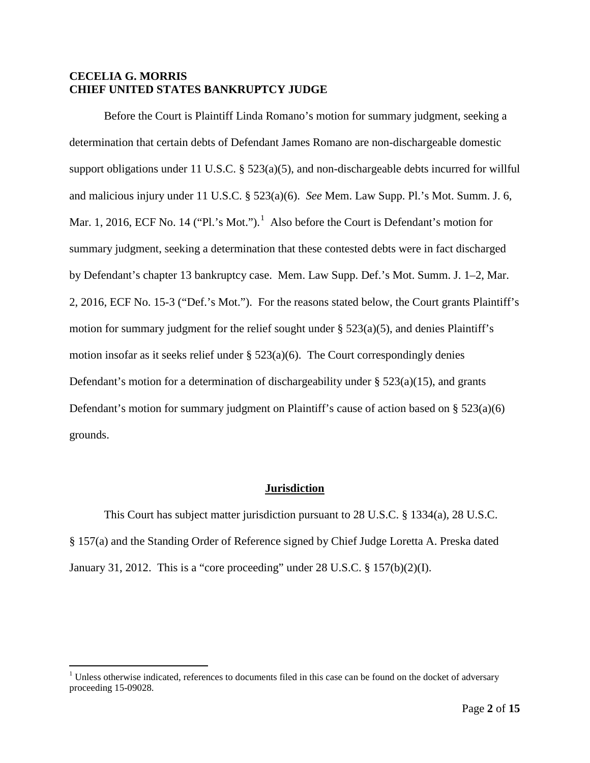## **CECELIA G. MORRIS CHIEF UNITED STATES BANKRUPTCY JUDGE**

Before the Court is Plaintiff Linda Romano's motion for summary judgment, seeking a determination that certain debts of Defendant James Romano are non-dischargeable domestic support obligations under 11 U.S.C. § 523(a)(5), and non-dischargeable debts incurred for willful and malicious injury under 11 U.S.C. § 523(a)(6). *See* Mem. Law Supp. Pl.'s Mot. Summ. J. 6, Mar. [1](#page-1-0), 2016, ECF No. 14 ("Pl.'s Mot.").<sup>1</sup> Also before the Court is Defendant's motion for summary judgment, seeking a determination that these contested debts were in fact discharged by Defendant's chapter 13 bankruptcy case. Mem. Law Supp. Def.'s Mot. Summ. J. 1–2, Mar. 2, 2016, ECF No. 15-3 ("Def.'s Mot."). For the reasons stated below, the Court grants Plaintiff's motion for summary judgment for the relief sought under  $\S$  523(a)(5), and denies Plaintiff's motion insofar as it seeks relief under § 523(a)(6). The Court correspondingly denies Defendant's motion for a determination of dischargeability under  $\S$  523(a)(15), and grants Defendant's motion for summary judgment on Plaintiff's cause of action based on § 523(a)(6) grounds.

# **Jurisdiction**

This Court has subject matter jurisdiction pursuant to 28 U.S.C. § 1334(a), 28 U.S.C. § 157(a) and the Standing Order of Reference signed by Chief Judge Loretta A. Preska dated January 31, 2012. This is a "core proceeding" under 28 U.S.C. § 157(b)(2)(I).

<span id="page-1-0"></span> $<sup>1</sup>$  Unless otherwise indicated, references to documents filed in this case can be found on the docket of adversary</sup> proceeding 15-09028.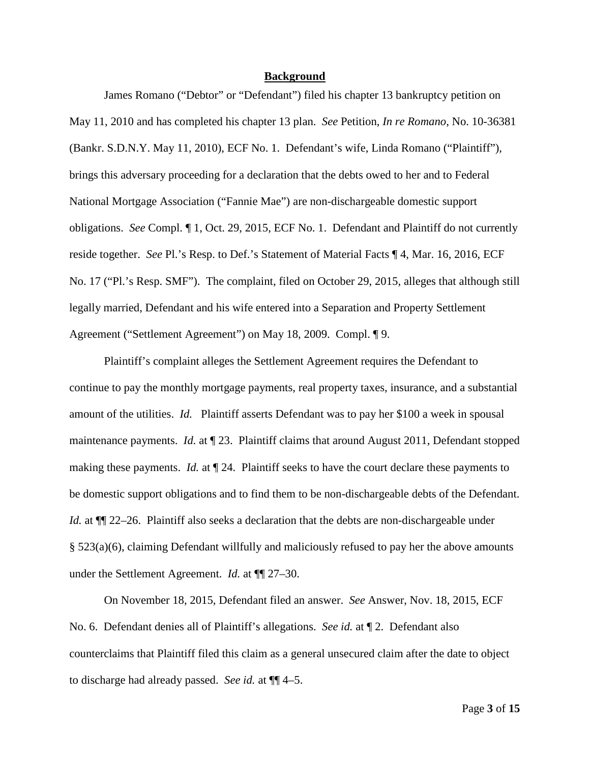#### **Background**

James Romano ("Debtor" or "Defendant") filed his chapter 13 bankruptcy petition on May 11, 2010 and has completed his chapter 13 plan. *See* Petition, *In re Romano*, No. 10-36381 (Bankr. S.D.N.Y. May 11, 2010), ECF No. 1. Defendant's wife, Linda Romano ("Plaintiff"), brings this adversary proceeding for a declaration that the debts owed to her and to Federal National Mortgage Association ("Fannie Mae") are non-dischargeable domestic support obligations. *See* Compl. ¶ 1, Oct. 29, 2015, ECF No. 1. Defendant and Plaintiff do not currently reside together. *See* Pl.'s Resp. to Def.'s Statement of Material Facts ¶ 4, Mar. 16, 2016, ECF No. 17 ("Pl.'s Resp. SMF"). The complaint, filed on October 29, 2015, alleges that although still legally married, Defendant and his wife entered into a Separation and Property Settlement Agreement ("Settlement Agreement") on May 18, 2009. Compl. ¶ 9.

Plaintiff's complaint alleges the Settlement Agreement requires the Defendant to continue to pay the monthly mortgage payments, real property taxes, insurance, and a substantial amount of the utilities. *Id.* Plaintiff asserts Defendant was to pay her \$100 a week in spousal maintenance payments. *Id.* at  $\P$  23. Plaintiff claims that around August 2011, Defendant stopped making these payments. *Id.* at ¶ 24. Plaintiff seeks to have the court declare these payments to be domestic support obligations and to find them to be non-dischargeable debts of the Defendant. *Id.* at  $\P$  22–26. Plaintiff also seeks a declaration that the debts are non-dischargeable under § 523(a)(6), claiming Defendant willfully and maliciously refused to pay her the above amounts under the Settlement Agreement. *Id.* at  $\P$  27–30.

On November 18, 2015, Defendant filed an answer. *See* Answer, Nov. 18, 2015, ECF No. 6. Defendant denies all of Plaintiff's allegations. *See id.* at ¶ 2. Defendant also counterclaims that Plaintiff filed this claim as a general unsecured claim after the date to object to discharge had already passed. *See id.* at ¶¶ 4–5.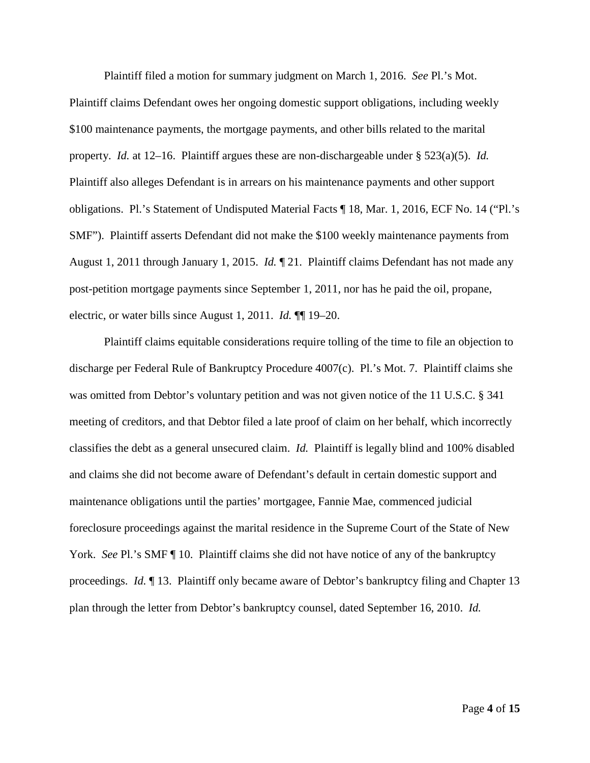Plaintiff filed a motion for summary judgment on March 1, 2016. *See* Pl.'s Mot. Plaintiff claims Defendant owes her ongoing domestic support obligations, including weekly \$100 maintenance payments, the mortgage payments, and other bills related to the marital property. *Id.* at 12–16. Plaintiff argues these are non-dischargeable under § 523(a)(5). *Id.* Plaintiff also alleges Defendant is in arrears on his maintenance payments and other support obligations. Pl.'s Statement of Undisputed Material Facts ¶ 18, Mar. 1, 2016, ECF No. 14 ("Pl.'s SMF"). Plaintiff asserts Defendant did not make the \$100 weekly maintenance payments from August 1, 2011 through January 1, 2015. *Id.* ¶ 21. Plaintiff claims Defendant has not made any post-petition mortgage payments since September 1, 2011, nor has he paid the oil, propane, electric, or water bills since August 1, 2011. *Id.* ¶¶ 19–20.

Plaintiff claims equitable considerations require tolling of the time to file an objection to discharge per Federal Rule of Bankruptcy Procedure 4007(c). Pl.'s Mot. 7. Plaintiff claims she was omitted from Debtor's voluntary petition and was not given notice of the 11 U.S.C. § 341 meeting of creditors, and that Debtor filed a late proof of claim on her behalf, which incorrectly classifies the debt as a general unsecured claim. *Id.* Plaintiff is legally blind and 100% disabled and claims she did not become aware of Defendant's default in certain domestic support and maintenance obligations until the parties' mortgagee, Fannie Mae, commenced judicial foreclosure proceedings against the marital residence in the Supreme Court of the State of New York. *See* Pl.'s SMF [10. Plaintiff claims she did not have notice of any of the bankruptcy proceedings. *Id.* 13. Plaintiff only became aware of Debtor's bankruptcy filing and Chapter 13 plan through the letter from Debtor's bankruptcy counsel, dated September 16, 2010. *Id.*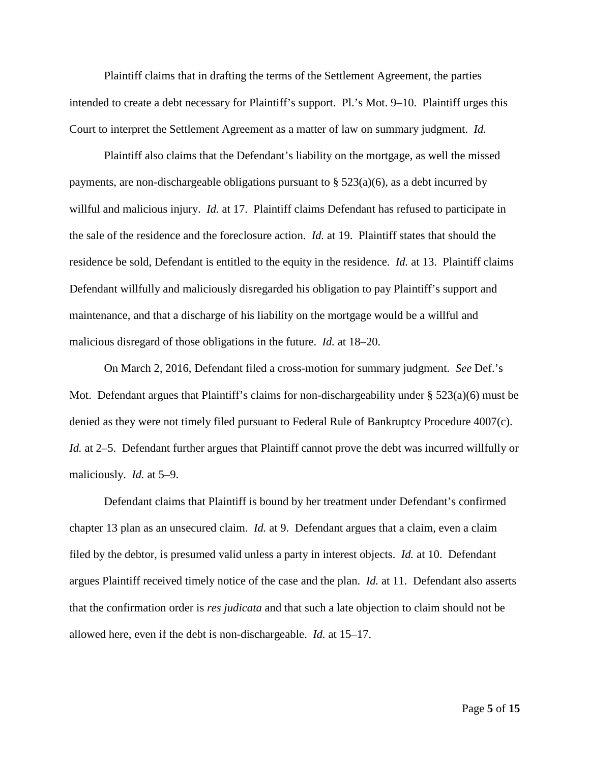Plaintiff claims that in drafting the terms of the Settlement Agreement, the parties intended to create a debt necessary for Plaintiff's support. Pl.'s Mot. 9–10. Plaintiff urges this Court to interpret the Settlement Agreement as a matter of law on summary judgment. *Id.*

Plaintiff also claims that the Defendant's liability on the mortgage, as well the missed payments, are non-dischargeable obligations pursuant to  $\S$  523(a)(6), as a debt incurred by willful and malicious injury. *Id.* at 17. Plaintiff claims Defendant has refused to participate in the sale of the residence and the foreclosure action. *Id.* at 19. Plaintiff states that should the residence be sold, Defendant is entitled to the equity in the residence. *Id.* at 13. Plaintiff claims Defendant willfully and maliciously disregarded his obligation to pay Plaintiff's support and maintenance, and that a discharge of his liability on the mortgage would be a willful and malicious disregard of those obligations in the future. *Id.* at 18–20.

On March 2, 2016, Defendant filed a cross-motion for summary judgment. *See* Def.'s Mot. Defendant argues that Plaintiff's claims for non-dischargeability under § 523(a)(6) must be denied as they were not timely filed pursuant to Federal Rule of Bankruptcy Procedure 4007(c). *Id.* at 2–5. Defendant further argues that Plaintiff cannot prove the debt was incurred willfully or maliciously. *Id.* at 5–9.

Defendant claims that Plaintiff is bound by her treatment under Defendant's confirmed chapter 13 plan as an unsecured claim. *Id.* at 9. Defendant argues that a claim, even a claim filed by the debtor, is presumed valid unless a party in interest objects. *Id.* at 10. Defendant argues Plaintiff received timely notice of the case and the plan. *Id.* at 11. Defendant also asserts that the confirmation order is *res judicata* and that such a late objection to claim should not be allowed here, even if the debt is non-dischargeable. *Id.* at 15–17.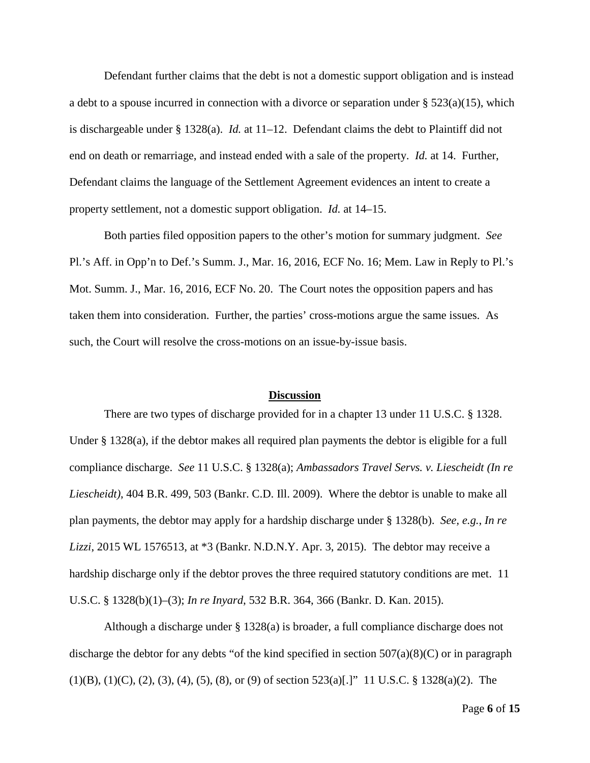Defendant further claims that the debt is not a domestic support obligation and is instead a debt to a spouse incurred in connection with a divorce or separation under § 523(a)(15), which is dischargeable under § 1328(a). *Id.* at 11–12. Defendant claims the debt to Plaintiff did not end on death or remarriage, and instead ended with a sale of the property. *Id.* at 14. Further, Defendant claims the language of the Settlement Agreement evidences an intent to create a property settlement, not a domestic support obligation. *Id.* at 14–15.

Both parties filed opposition papers to the other's motion for summary judgment. *See* Pl.'s Aff. in Opp'n to Def.'s Summ. J., Mar. 16, 2016, ECF No. 16; Mem. Law in Reply to Pl.'s Mot. Summ. J., Mar. 16, 2016, ECF No. 20. The Court notes the opposition papers and has taken them into consideration. Further, the parties' cross-motions argue the same issues. As such, the Court will resolve the cross-motions on an issue-by-issue basis.

#### **Discussion**

There are two types of discharge provided for in a chapter 13 under 11 U.S.C. § 1328. Under § 1328(a), if the debtor makes all required plan payments the debtor is eligible for a full compliance discharge. *See* 11 U.S.C. § 1328(a); *Ambassadors Travel Servs. v. Liescheidt (In re Liescheidt)*, 404 B.R. 499, 503 (Bankr. C.D. Ill. 2009). Where the debtor is unable to make all plan payments, the debtor may apply for a hardship discharge under § 1328(b). *See, e.g.*, *In re Lizzi*, 2015 WL 1576513, at \*3 (Bankr. N.D.N.Y. Apr. 3, 2015). The debtor may receive a hardship discharge only if the debtor proves the three required statutory conditions are met. 11 U.S.C. § 1328(b)(1)–(3); *In re Inyard*, 532 B.R. 364, 366 (Bankr. D. Kan. 2015).

Although a discharge under § 1328(a) is broader, a full compliance discharge does not discharge the debtor for any debts "of the kind specified in section  $507(a)(8)(C)$  or in paragraph (1)(B), (1)(C), (2), (3), (4), (5), (8), or (9) of section 523(a)[.]" 11 U.S.C. § 1328(a)(2). The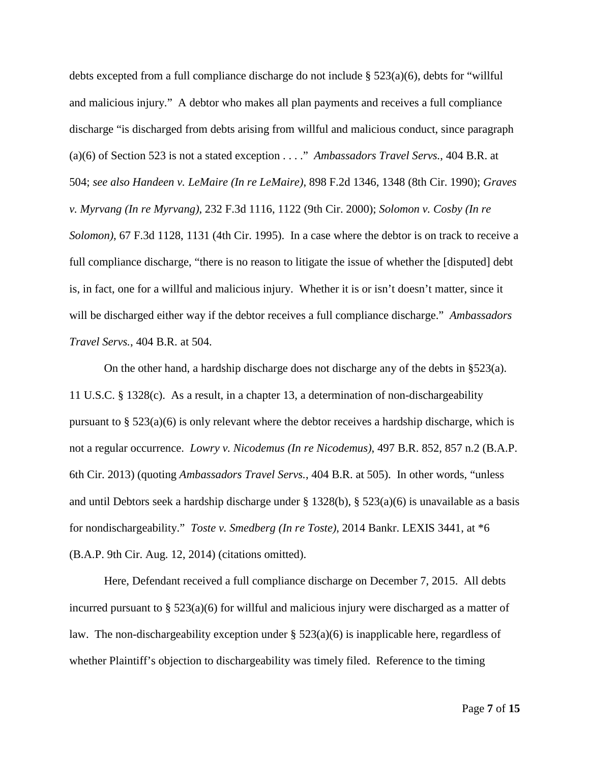debts excepted from a full compliance discharge do not include § 523(a)(6), debts for "willful and malicious injury." A debtor who makes all plan payments and receives a full compliance discharge "is discharged from debts arising from willful and malicious conduct, since paragraph (a)(6) of Section 523 is not a stated exception . . . ." *Ambassadors Travel Servs.*, 404 B.R. at 504; *see also Handeen v. LeMaire (In re LeMaire)*, 898 F.2d 1346, 1348 (8th Cir. 1990); *Graves v. Myrvang (In re Myrvang)*, 232 F.3d 1116, 1122 (9th Cir. 2000); *Solomon v. Cosby (In re Solomon)*, 67 F.3d 1128, 1131 (4th Cir. 1995). In a case where the debtor is on track to receive a full compliance discharge, "there is no reason to litigate the issue of whether the [disputed] debt is, in fact, one for a willful and malicious injury. Whether it is or isn't doesn't matter, since it will be discharged either way if the debtor receives a full compliance discharge." *Ambassadors Travel Servs.*, 404 B.R. at 504.

On the other hand, a hardship discharge does not discharge any of the debts in §523(a). 11 U.S.C. § 1328(c). As a result, in a chapter 13, a determination of non-dischargeability pursuant to  $\S$  523(a)(6) is only relevant where the debtor receives a hardship discharge, which is not a regular occurrence. *Lowry v. Nicodemus (In re Nicodemus)*, 497 B.R. 852, 857 n.2 (B.A.P. 6th Cir. 2013) (quoting *Ambassadors Travel Servs.*, 404 B.R. at 505). In other words, "unless and until Debtors seek a hardship discharge under § 1328(b), § 523(a)(6) is unavailable as a basis for nondischargeability." *Toste v. Smedberg (In re Toste)*, 2014 Bankr. LEXIS 3441, at \*6 (B.A.P. 9th Cir. Aug. 12, 2014) (citations omitted).

Here, Defendant received a full compliance discharge on December 7, 2015. All debts incurred pursuant to  $\S$  523(a)(6) for willful and malicious injury were discharged as a matter of law. The non-dischargeability exception under  $\S$  523(a)(6) is inapplicable here, regardless of whether Plaintiff's objection to dischargeability was timely filed. Reference to the timing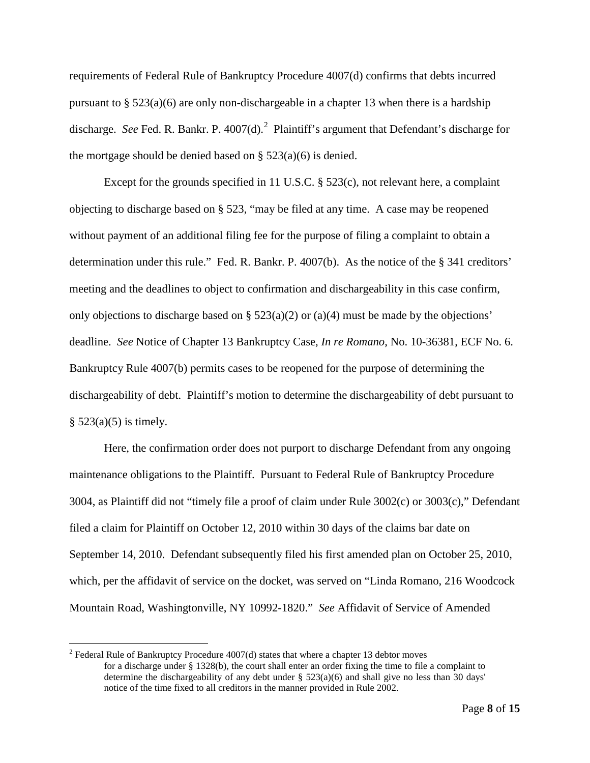requirements of Federal Rule of Bankruptcy Procedure 4007(d) confirms that debts incurred pursuant to  $\S 523(a)(6)$  are only non-dischargeable in a chapter 13 when there is a hardship discharge. See Fed. R. Bankr. P. 4007(d).<sup>[2](#page-7-0)</sup> Plaintiff's argument that Defendant's discharge for the mortgage should be denied based on  $\S$  523(a)(6) is denied.

Except for the grounds specified in 11 U.S.C. § 523(c), not relevant here, a complaint objecting to discharge based on § 523, "may be filed at any time. A case may be reopened without payment of an additional filing fee for the purpose of filing a complaint to obtain a determination under this rule." Fed. R. Bankr. P. 4007(b). As the notice of the § 341 creditors' meeting and the deadlines to object to confirmation and dischargeability in this case confirm, only objections to discharge based on  $\S$  523(a)(2) or (a)(4) must be made by the objections' deadline. *See* Notice of Chapter 13 Bankruptcy Case, *In re Romano*, No. 10-36381, ECF No. 6. Bankruptcy Rule 4007(b) permits cases to be reopened for the purpose of determining the dischargeability of debt. Plaintiff's motion to determine the dischargeability of debt pursuant to  $§ 523(a)(5)$  is timely.

Here, the confirmation order does not purport to discharge Defendant from any ongoing maintenance obligations to the Plaintiff. Pursuant to Federal Rule of Bankruptcy Procedure 3004, as Plaintiff did not "timely file a proof of claim under Rule 3002(c) or 3003(c)," Defendant filed a claim for Plaintiff on October 12, 2010 within 30 days of the claims bar date on September 14, 2010. Defendant subsequently filed his first amended plan on October 25, 2010, which, per the affidavit of service on the docket, was served on "Linda Romano, 216 Woodcock Mountain Road, Washingtonville, NY 10992-1820." *See* Affidavit of Service of Amended

<span id="page-7-0"></span> $2$  Federal Rule of Bankruptcy Procedure 4007(d) states that where a chapter 13 debtor moves for a discharge under § 1328(b), the court shall enter an order fixing the time to file a complaint to determine the dischargeability of any debt under  $\S$  523(a)(6) and shall give no less than 30 days' notice of the time fixed to all creditors in the manner provided in Rule 2002.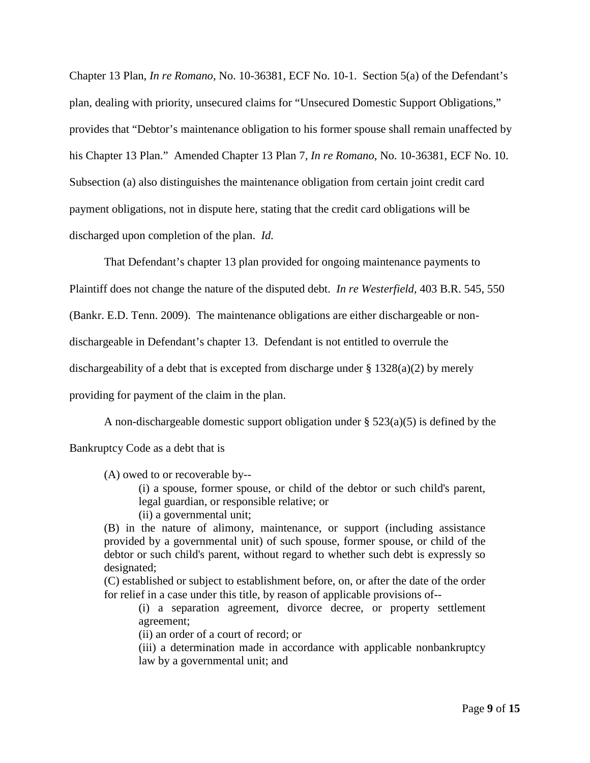Chapter 13 Plan, *In re Romano*, No. 10-36381, ECF No. 10-1. Section 5(a) of the Defendant's plan, dealing with priority, unsecured claims for "Unsecured Domestic Support Obligations," provides that "Debtor's maintenance obligation to his former spouse shall remain unaffected by his Chapter 13 Plan." Amended Chapter 13 Plan 7, *In re Romano*, No. 10-36381, ECF No. 10. Subsection (a) also distinguishes the maintenance obligation from certain joint credit card payment obligations, not in dispute here, stating that the credit card obligations will be discharged upon completion of the plan. *Id.*

That Defendant's chapter 13 plan provided for ongoing maintenance payments to Plaintiff does not change the nature of the disputed debt. *In re Westerfield*, 403 B.R. 545, 550 (Bankr. E.D. Tenn. 2009). The maintenance obligations are either dischargeable or nondischargeable in Defendant's chapter 13. Defendant is not entitled to overrule the dischargeability of a debt that is excepted from discharge under  $\S 1328(a)(2)$  by merely providing for payment of the claim in the plan.

A non-dischargeable domestic support obligation under  $\S$  523(a)(5) is defined by the

Bankruptcy Code as a debt that is

(A) owed to or recoverable by--

(i) a spouse, former spouse, or child of the debtor or such child's parent, legal guardian, or responsible relative; or

(ii) a governmental unit;

(B) in the nature of alimony, maintenance, or support (including assistance provided by a governmental unit) of such spouse, former spouse, or child of the debtor or such child's parent, without regard to whether such debt is expressly so designated;

(C) established or subject to establishment before, on, or after the date of the order for relief in a case under this title, by reason of applicable provisions of--

(i) a separation agreement, divorce decree, or property settlement agreement;

(ii) an order of a court of record; or

(iii) a determination made in accordance with applicable nonbankruptcy law by a governmental unit; and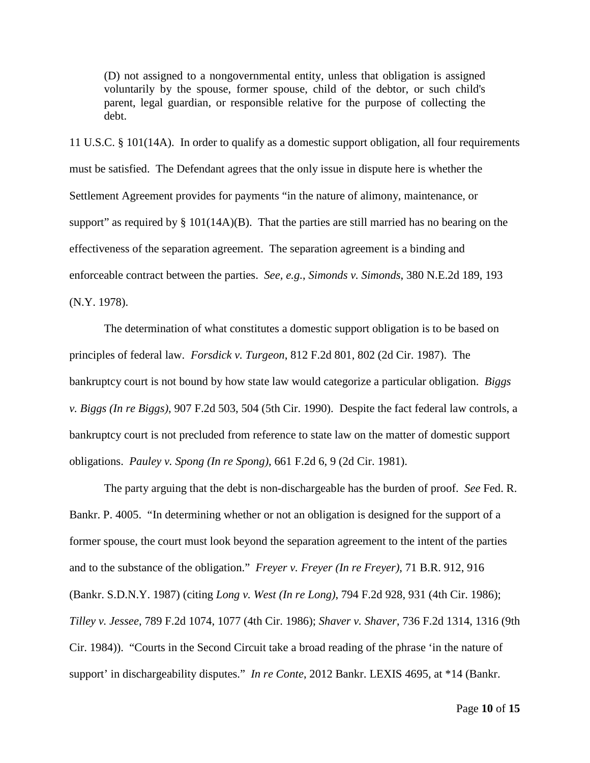(D) not assigned to a nongovernmental entity, unless that obligation is assigned voluntarily by the spouse, former spouse, child of the debtor, or such child's parent, legal guardian, or responsible relative for the purpose of collecting the debt.

11 U.S.C. § 101(14A). In order to qualify as a domestic support obligation, all four requirements must be satisfied. The Defendant agrees that the only issue in dispute here is whether the Settlement Agreement provides for payments "in the nature of alimony, maintenance, or support" as required by  $\S 101(14A)(B)$ . That the parties are still married has no bearing on the effectiveness of the separation agreement. The separation agreement is a binding and enforceable contract between the parties. *See, e.g.*, *Simonds v. Simonds*, 380 N.E.2d 189, 193 (N.Y. 1978).

The determination of what constitutes a domestic support obligation is to be based on principles of federal law. *Forsdick v. Turgeon*, 812 F.2d 801, 802 (2d Cir. 1987). The bankruptcy court is not bound by how state law would categorize a particular obligation. *Biggs v. Biggs (In re Biggs)*, 907 F.2d 503, 504 (5th Cir. 1990). Despite the fact federal law controls, a bankruptcy court is not precluded from reference to state law on the matter of domestic support obligations. *Pauley v. Spong (In re Spong)*, 661 F.2d 6, 9 (2d Cir. 1981).

The party arguing that the debt is non-dischargeable has the burden of proof. *See* Fed. R. Bankr. P. 4005. "In determining whether or not an obligation is designed for the support of a former spouse, the court must look beyond the separation agreement to the intent of the parties and to the substance of the obligation." *Freyer v. Freyer (In re Freyer)*, 71 B.R. 912, 916 (Bankr. S.D.N.Y. 1987) (citing *Long v. West (In re Long)*, 794 F.2d 928, 931 (4th Cir. 1986); *Tilley v. Jessee*, 789 F.2d 1074, 1077 (4th Cir. 1986); *Shaver v. Shaver*, 736 F.2d 1314, 1316 (9th Cir. 1984)). "Courts in the Second Circuit take a broad reading of the phrase 'in the nature of support' in dischargeability disputes." *In re Conte*, 2012 Bankr. LEXIS 4695, at \*14 (Bankr.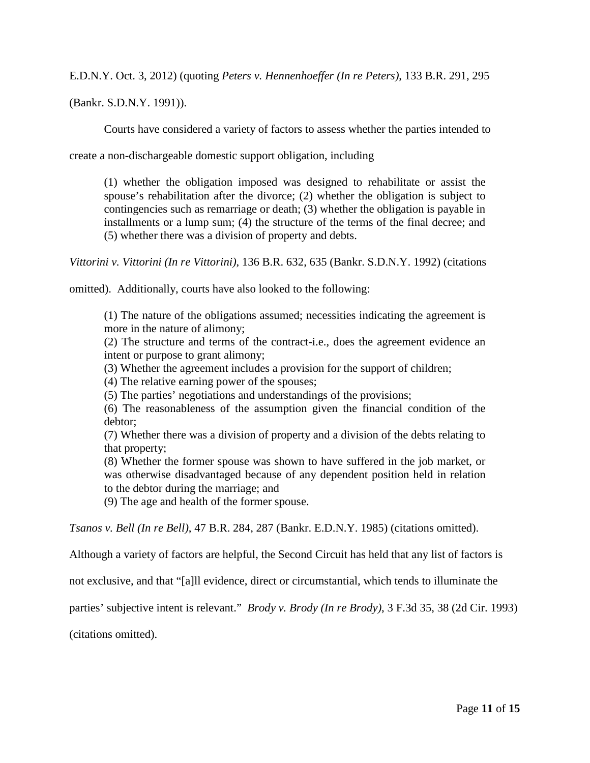E.D.N.Y. Oct. 3, 2012) (quoting *Peters v. Hennenhoeffer (In re Peters)*, 133 B.R. 291, 295

(Bankr. S.D.N.Y. 1991)).

Courts have considered a variety of factors to assess whether the parties intended to

create a non-dischargeable domestic support obligation, including

(1) whether the obligation imposed was designed to rehabilitate or assist the spouse's rehabilitation after the divorce; (2) whether the obligation is subject to contingencies such as remarriage or death; (3) whether the obligation is payable in installments or a lump sum; (4) the structure of the terms of the final decree; and (5) whether there was a division of property and debts.

*Vittorini v. Vittorini (In re Vittorini)*, 136 B.R. 632, 635 (Bankr. S.D.N.Y. 1992) (citations

omitted). Additionally, courts have also looked to the following:

(1) The nature of the obligations assumed; necessities indicating the agreement is more in the nature of alimony;

(2) The structure and terms of the contract-i.e., does the agreement evidence an intent or purpose to grant alimony;

(3) Whether the agreement includes a provision for the support of children;

(4) The relative earning power of the spouses;

(5) The parties' negotiations and understandings of the provisions;

(6) The reasonableness of the assumption given the financial condition of the debtor;

(7) Whether there was a division of property and a division of the debts relating to that property;

(8) Whether the former spouse was shown to have suffered in the job market, or was otherwise disadvantaged because of any dependent position held in relation to the debtor during the marriage; and

(9) The age and health of the former spouse.

*Tsanos v. Bell (In re Bell)*, 47 B.R. 284, 287 (Bankr. E.D.N.Y. 1985) (citations omitted).

Although a variety of factors are helpful, the Second Circuit has held that any list of factors is

not exclusive, and that "[a]ll evidence, direct or circumstantial, which tends to illuminate the

parties' subjective intent is relevant." *Brody v. Brody (In re Brody)*, 3 F.3d 35, 38 (2d Cir. 1993)

(citations omitted).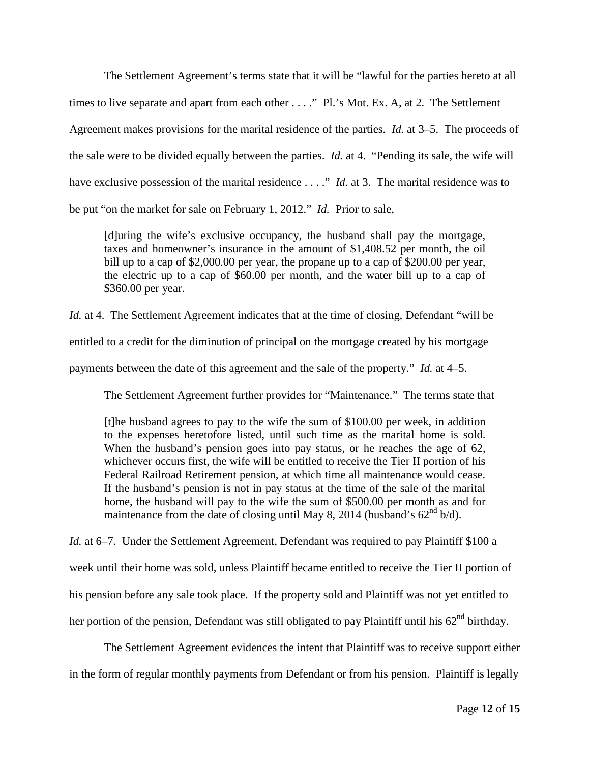The Settlement Agreement's terms state that it will be "lawful for the parties hereto at all times to live separate and apart from each other . . . ." Pl.'s Mot. Ex. A, at 2. The Settlement Agreement makes provisions for the marital residence of the parties. *Id.* at 3–5. The proceeds of the sale were to be divided equally between the parties. *Id.* at 4. "Pending its sale, the wife will have exclusive possession of the marital residence . . . ." *Id.* at 3. The marital residence was to be put "on the market for sale on February 1, 2012." *Id.* Prior to sale,

[d]uring the wife's exclusive occupancy, the husband shall pay the mortgage, taxes and homeowner's insurance in the amount of \$1,408.52 per month, the oil bill up to a cap of \$2,000.00 per year, the propane up to a cap of \$200.00 per year, the electric up to a cap of \$60.00 per month, and the water bill up to a cap of \$360.00 per year.

*Id.* at 4. The Settlement Agreement indicates that at the time of closing, Defendant "will be entitled to a credit for the diminution of principal on the mortgage created by his mortgage payments between the date of this agreement and the sale of the property." *Id.* at 4–5.

The Settlement Agreement further provides for "Maintenance." The terms state that

[t]he husband agrees to pay to the wife the sum of \$100.00 per week, in addition to the expenses heretofore listed, until such time as the marital home is sold. When the husband's pension goes into pay status, or he reaches the age of 62, whichever occurs first, the wife will be entitled to receive the Tier II portion of his Federal Railroad Retirement pension, at which time all maintenance would cease. If the husband's pension is not in pay status at the time of the sale of the marital home, the husband will pay to the wife the sum of \$500.00 per month as and for maintenance from the date of closing until May 8, 2014 (husband's  $62<sup>nd</sup> b/d$ ).

*Id.* at 6–7. Under the Settlement Agreement, Defendant was required to pay Plaintiff \$100 a week until their home was sold, unless Plaintiff became entitled to receive the Tier II portion of his pension before any sale took place. If the property sold and Plaintiff was not yet entitled to her portion of the pension, Defendant was still obligated to pay Plaintiff until his  $62<sup>nd</sup>$  birthday.

The Settlement Agreement evidences the intent that Plaintiff was to receive support either in the form of regular monthly payments from Defendant or from his pension. Plaintiff is legally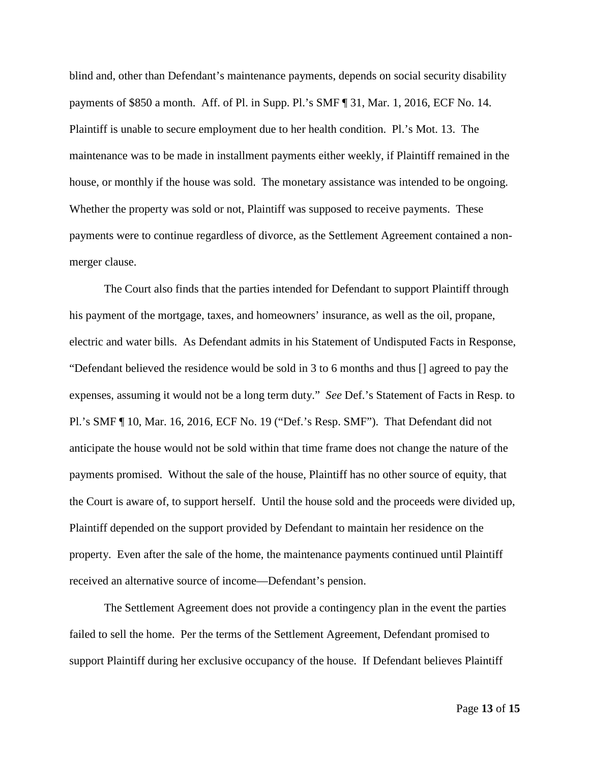blind and, other than Defendant's maintenance payments, depends on social security disability payments of \$850 a month. Aff. of Pl. in Supp. Pl.'s SMF ¶ 31, Mar. 1, 2016, ECF No. 14. Plaintiff is unable to secure employment due to her health condition. Pl.'s Mot. 13. The maintenance was to be made in installment payments either weekly, if Plaintiff remained in the house, or monthly if the house was sold. The monetary assistance was intended to be ongoing. Whether the property was sold or not, Plaintiff was supposed to receive payments. These payments were to continue regardless of divorce, as the Settlement Agreement contained a nonmerger clause.

The Court also finds that the parties intended for Defendant to support Plaintiff through his payment of the mortgage, taxes, and homeowners' insurance, as well as the oil, propane, electric and water bills. As Defendant admits in his Statement of Undisputed Facts in Response, "Defendant believed the residence would be sold in 3 to 6 months and thus [] agreed to pay the expenses, assuming it would not be a long term duty." *See* Def.'s Statement of Facts in Resp. to Pl.'s SMF ¶ 10, Mar. 16, 2016, ECF No. 19 ("Def.'s Resp. SMF"). That Defendant did not anticipate the house would not be sold within that time frame does not change the nature of the payments promised. Without the sale of the house, Plaintiff has no other source of equity, that the Court is aware of, to support herself. Until the house sold and the proceeds were divided up, Plaintiff depended on the support provided by Defendant to maintain her residence on the property. Even after the sale of the home, the maintenance payments continued until Plaintiff received an alternative source of income—Defendant's pension.

The Settlement Agreement does not provide a contingency plan in the event the parties failed to sell the home. Per the terms of the Settlement Agreement, Defendant promised to support Plaintiff during her exclusive occupancy of the house. If Defendant believes Plaintiff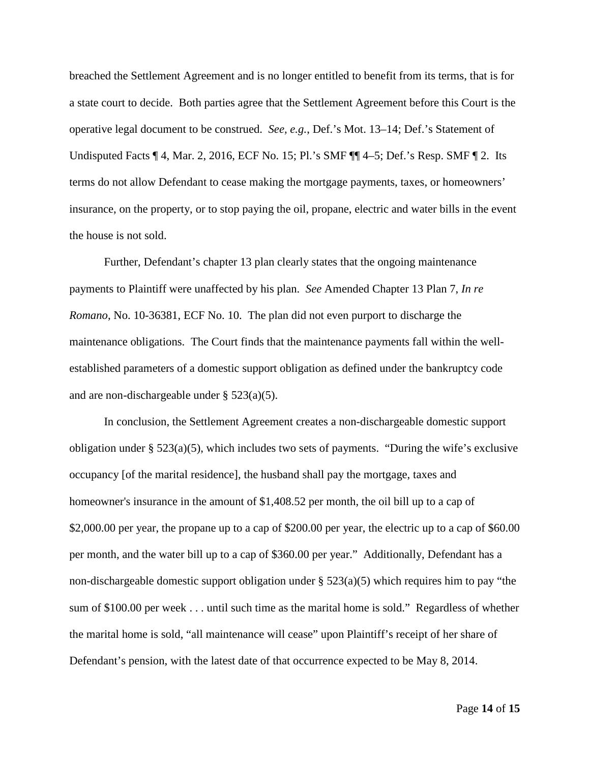breached the Settlement Agreement and is no longer entitled to benefit from its terms, that is for a state court to decide. Both parties agree that the Settlement Agreement before this Court is the operative legal document to be construed. *See, e.g.*, Def.'s Mot. 13–14; Def.'s Statement of Undisputed Facts ¶ 4, Mar. 2, 2016, ECF No. 15; Pl.'s SMF ¶¶ 4–5; Def.'s Resp. SMF ¶ 2. Its terms do not allow Defendant to cease making the mortgage payments, taxes, or homeowners' insurance, on the property, or to stop paying the oil, propane, electric and water bills in the event the house is not sold.

Further, Defendant's chapter 13 plan clearly states that the ongoing maintenance payments to Plaintiff were unaffected by his plan. *See* Amended Chapter 13 Plan 7, *In re Romano*, No. 10-36381, ECF No. 10. The plan did not even purport to discharge the maintenance obligations. The Court finds that the maintenance payments fall within the wellestablished parameters of a domestic support obligation as defined under the bankruptcy code and are non-dischargeable under § 523(a)(5).

In conclusion, the Settlement Agreement creates a non-dischargeable domestic support obligation under § 523(a)(5), which includes two sets of payments. "During the wife's exclusive occupancy [of the marital residence], the husband shall pay the mortgage, taxes and homeowner's insurance in the amount of \$1,408.52 per month, the oil bill up to a cap of \$2,000.00 per year, the propane up to a cap of \$200.00 per year, the electric up to a cap of \$60.00 per month, and the water bill up to a cap of \$360.00 per year." Additionally, Defendant has a non-dischargeable domestic support obligation under § 523(a)(5) which requires him to pay "the sum of \$100.00 per week . . . until such time as the marital home is sold." Regardless of whether the marital home is sold, "all maintenance will cease" upon Plaintiff's receipt of her share of Defendant's pension, with the latest date of that occurrence expected to be May 8, 2014.